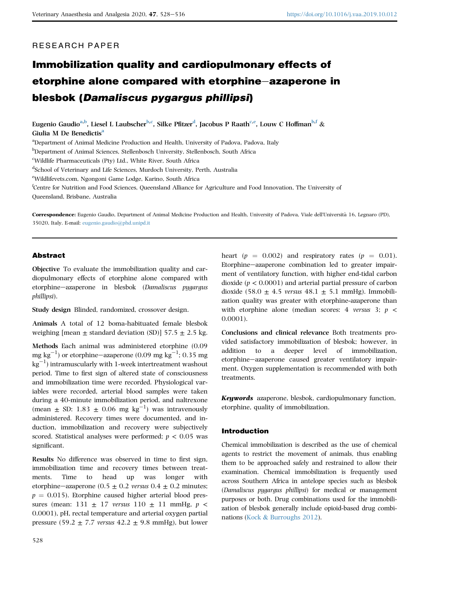## RESEARCH PAPER

# Immobilization quality and cardiopulmonary effects of etorphine alone compared with etorphine-azaperone in blesbok (Damaliscus pygargus phillipsi)

Eugenio G[a](#page-0-0)udio<sup>a,[b](#page-0-1)</sup>, Liesel L Laubscher<sup>[b,](#page-0-1)[c](#page-0-2)</sup>, Silke Pfitzer<sup>[d](#page-0-3)</sup>, Jacobus P Raath<sup>[c,](#page-0-2)[e](#page-0-4)</sup>, Louw C Ho[f](#page-0-5)fman<sup>b,f</sup> & Giuli[a](#page-0-0) M De Benedictis<sup>a</sup>

<span id="page-0-0"></span><sup>a</sup>Department of Animal Medicine Production and Health, University of Padova, Padova, Italy

<span id="page-0-1"></span>b Department of Animal Sciences, Stellenbosch University, Stellenbosch, South Africa

<span id="page-0-2"></span>c Wildlife Pharmaceuticals (Pty) Ltd., White River, South Africa

<span id="page-0-3"></span>d School of Veterinary and Life Sciences, Murdoch University, Perth, Australia

<span id="page-0-4"></span>e Wildlifevets.com, Ngongoni Game Lodge, Karino, South Africa

<span id="page-0-5"></span>f Centre for Nutrition and Food Sciences, Queensland Alliance for Agriculture and Food Innovation, The University of Queensland, Brisbane, Australia

Correspondence: Eugenio Gaudio, Department of Animal Medicine Production and Health, University of Padova, Viale dell'Universita 16, Legnaro (PD), 35020, Italy. E-mail: [eugenio.gaudio@phd.unipd.it](mailto:eugenio.gaudio@phd.unipd.it)

## Abstract

Objective To evaluate the immobilization quality and cardiopulmonary effects of etorphine alone compared with etorphine-azaperone in blesbok (Damaliscus pygargus phillipsi).

Study design Blinded, randomized, crossover design.

Animals A total of 12 boma-habituated female blesbok weighing [mean  $\pm$  standard deviation (SD)] 57.5  $\pm$  2.5 kg.

Methods Each animal was administered etorphine (0.09 mg kg $^{-1}$ ) or etorphine—azaperone (0.09 mg kg $^{-1}$ ; 0.35 mg  $\mathrm{kg}^{-1}$ ) intramuscularly with 1-week intertreatment washout period. Time to first sign of altered state of consciousness and immobilization time were recorded. Physiological variables were recorded, arterial blood samples were taken during a 40-minute immobilization period, and naltrexone (mean  $\pm$  SD: 1.83  $\pm$  0.06 mg kg<sup>-1</sup>) was intravenously administered. Recovery times were documented, and induction, immobilization and recovery were subjectively scored. Statistical analyses were performed;  $p < 0.05$  was significant.

Results No difference was observed in time to first sign, immobilization time and recovery times between treatments. Time to head up was longer with etorphine—azaperone (0.5  $\pm$  0.2 versus 0.4  $\pm$  0.2 minutes;  $p = 0.015$ ). Etorphine caused higher arterial blood pressures (mean: 131  $\pm$  17 versus 110  $\pm$  11 mmHg,  $p \lt$ 0.0001), pH, rectal temperature and arterial oxygen partial pressure (59.2  $\pm$  7.7 versus 42.2  $\pm$  9.8 mmHg), but lower heart ( $p = 0.002$ ) and respiratory rates ( $p = 0.01$ ). Etorphine-azaperone combination led to greater impairment of ventilatory function, with higher end-tidal carbon dioxide ( $p < 0.0001$ ) and arterial partial pressure of carbon dioxide (58.0  $\pm$  4.5 versus 48.1  $\pm$  5.1 mmHg). Immobilization quality was greater with etorphine-azaperone than with etorphine alone (median scores: 4 versus 3;  $p \leq$ 0.0001).

Conclusions and clinical relevance Both treatments provided satisfactory immobilization of blesbok; however, in addition to a deeper level of immobilization, etorphine-azaperone caused greater ventilatory impairment. Oxygen supplementation is recommended with both treatments.

Keywords azaperone, blesbok, cardiopulmonary function, etorphine, quality of immobilization.

## Introduction

Chemical immobilization is described as the use of chemical agents to restrict the movement of animals, thus enabling them to be approached safely and restrained to allow their examination. Chemical immobilization is frequently used across Southern Africa in antelope species such as blesbok (Damaliscus pygargus phillipsi) for medical or management purposes or both. Drug combinations used for the immobilization of blesbok generally include opioid-based drug combinations ([Kock](#page-8-0) & [Burroughs 2012\)](#page-8-0).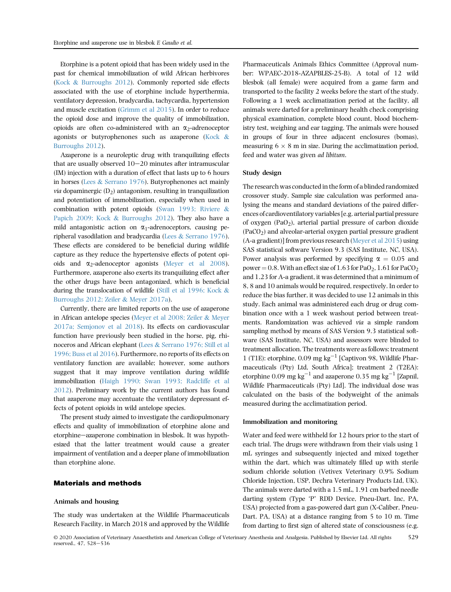Etorphine is a potent opioid that has been widely used in the past for chemical immobilization of wild African herbivores ([Kock](#page-8-0) & [Burroughs 2012](#page-8-0)). Commonly reported side effects associated with the use of etorphine include hyperthermia, ventilatory depression, bradycardia, tachycardia, hypertension and muscle excitation ([Grimm et al 2015](#page-8-1)). In order to reduce the opioid dose and improve the quality of immobilization, opioids are often co-administered with an  $\alpha_2$ -adrenoceptor agonists or butyrophenones such as azaperone [\(Kock](#page-8-0) & [Burroughs 2012\)](#page-8-0).

Azaperone is a neuroleptic drug with tranquilizing effects that are usually observed  $10-20$  minutes after intramuscular (IM) injection with a duration of effect that lasts up to 6 hours in horses [\(Lees](#page-8-2) & [Serrano 1976\)](#page-8-2). Butyrophenones act mainly *via* dopaminergic  $(D_2)$  antagonism, resulting in tranquilization and potentiation of immobilization, especially when used in combination with potent opioids ([Swan 1993; Riviere](#page-8-3) & [Papich 2009; Kock](#page-8-3) & [Burroughs 2012](#page-8-3)). They also have a mild antagonistic action on  $\alpha_1$ -adrenoceptors, causing peripheral vasodilation and bradycardia [\(Lees](#page-8-2) & [Serrano 1976\)](#page-8-2). These effects are considered to be beneficial during wildlife capture as they reduce the hypertensive effects of potent opioids and  $\alpha_2$ -adenoceptor agonists ([Meyer et al 2008\)](#page-8-4). Furthermore, azaperone also exerts its tranquilizing effect after the other drugs have been antagonized, which is beneficial during the translocation of wildlife ([Still et al 1996; Kock](#page-8-5) & [Burroughs 2012; Zeiler](#page-8-5) & [Meyer 2017a](#page-8-5)).

Currently, there are limited reports on the use of azaperone in African antelope species ([Meyer et al 2008; Zeiler](#page-8-4) & [Meyer](#page-8-4) [2017a; Semjonov et al 2018](#page-8-4)). Its effects on cardiovascular function have previously been studied in the horse, pig, rhinoceros and African elephant [\(Lees](#page-8-2) & [Serrano 1976; Still et al](#page-8-2) [1996; Buss et al 2016](#page-8-2)). Furthermore, no reports of its effects on ventilatory function are available; however, some authors suggest that it may improve ventilation during wildlife immobilization ([Haigh 1990; Swan 1993; Radcliffe et al](#page-8-6) [2012](#page-8-6)). Preliminary work by the current authors has found that azaperone may accentuate the ventilatory depressant effects of potent opioids in wild antelope species.

The present study aimed to investigate the cardiopulmonary effects and quality of immobilization of etorphine alone and etorphine-azaperone combination in blesbok. It was hypothesized that the latter treatment would cause a greater impairment of ventilation and a deeper plane of immobilization than etorphine alone.

## Materials and methods

#### Animals and housing

The study was undertaken at the Wildlife Pharmaceuticals Research Facility, in March 2018 and approved by the Wildlife Pharmaceuticals Animals Ethics Committee (Approval number: WPAEC-2018-AZAPBLES-25-B). A total of 12 wild blesbok (all female) were acquired from a game farm and transported to the facility 2 weeks before the start of the study. Following a 1 week acclimatization period at the facility, all animals were darted for a preliminary health check comprising physical examination, complete blood count, blood biochemistry test, weighing and ear tagging. The animals were housed in groups of four in three adjacent enclosures (bomas), measuring  $6 \times 8$  m in size. During the acclimatization period, feed and water was given ad libitum.

#### Study design

The research was conducted in the form of a blinded randomized crossover study. Sample size calculation was performed analysing the means and standard deviations of the paired differences of cardioventilatory variables [e.g. arterial partial pressure of oxygen  $(PaO<sub>2</sub>)$ , arterial partial pressure of carbon dioxide  $(PaCO<sub>2</sub>)$  and alveolar-arterial oxygen partial pressure gradient (A-a gradient)] from previous research ([Meyer et al 2015\)](#page-8-7) using SAS statistical software Version 9.3 (SAS Institute, NC, USA). Power analysis was performed by specifying  $\alpha = 0.05$  and power = 0.8. With an effect size of 1.63 for PaO<sub>2</sub>, 1.61 for PaCO<sub>2</sub> and 1.23 for A-a gradient, it was determined that a minimum of 8, 8 and 10 animals would be required, respectively. In order to reduce the bias further, it was decided to use 12 animals in this study. Each animal was administered each drug or drug combination once with a 1 week washout period between treatments. Randomization was achieved via a simple random sampling method by means of SAS Version 9.3 statistical software (SAS Institute, NC, USA) and assessors were blinded to treatment allocation. The treatments were as follows: treatment 1 (T1E): etorphine, 0.09 mg kg<sup>-1</sup> [Captivon 98, Wildlife Pharmaceuticals (Pty) Ltd, South Africa]; treatment 2 (T2EA): etorphine 0.09 mg kg<sup>-1</sup> and azaperone 0.35 mg kg<sup>-1</sup> [Zapnil, Wildlife Pharmaceuticals (Pty) Ltd]. The individual dose was calculated on the basis of the bodyweight of the animals measured during the acclimatization period.

#### Immobilization and monitoring

Water and feed were withheld for 12 hours prior to the start of each trial. The drugs were withdrawn from their vials using 1 mL syringes and subsequently injected and mixed together within the dart, which was ultimately filled up with sterile sodium chloride solution (Vetivex Veterinary 0.9% Sodium Chloride Injection, USP, Dechra Veterinary Products Ltd, UK). The animals were darted with a 1.5 mL, 1.91 cm barbed needle darting system (Type 'P' RDD Device, Pneu-Dart. Inc, PA, USA) projected from a gas-powered dart gun (X-Caliber, Pneu-Dart. PA, USA) at a distance ranging from 5 to 10 m. Time from darting to first sign of altered state of consciousness (e.g.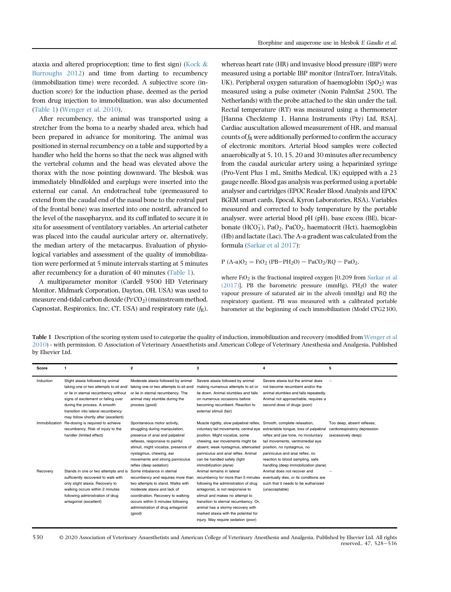ataxia and altered proprioception; time to first sign) ([Kock](#page-8-0) & [Burroughs 2012](#page-8-0)) and time from darting to recumbency (immobilization time) were recorded. A subjective score (induction score) for the induction phase, deemed as the period from drug injection to immobilization, was also documented [\(Table 1\)](#page-2-0) [\(Wenger et al. 2010](#page-8-8)).

After recumbency, the animal was transported using a stretcher from the boma to a nearby shaded area, which had been prepared in advance for monitoring. The animal was positioned in sternal recumbency on a table and supported by a handler who held the horns so that the neck was aligned with the vertebral column and the head was elevated above the thorax with the nose pointing downward. The blesbok was immediately blindfolded and earplugs were inserted into the external ear canal. An endotracheal tube (premeasured to extend from the caudal end of the nasal bone to the rostral part of the frontal bone) was inserted into one nostril, advanced to the level of the nasopharynx, and its cuff inflated to secure it in situ for assessment of ventilatory variables. An arterial catheter was placed into the caudal auricular artery or, alternatively, the median artery of the metacarpus. Evaluation of physiological variables and assessment of the quality of immobilization were performed at 5 minute intervals starting at 5 minutes after recumbency for a duration of 40 minutes ([Table 1](#page-2-0)).

A multiparameter monitor (Cardell 9500 HD Veterinary Monitor, Midmark Corporation, Dayton, OH, USA) was used to measure end-tidal carbon dioxide (PE'CO<sub>2</sub>) (mainstream method, Capnostat, Respironics, Inc, CT, USA) and respiratory rate  $(f_R)$ , whereas heart rate (HR) and invasive blood pressure (IBP) were measured using a portable IBP monitor (IntraTorr, IntraVitals, UK). Peripheral oxygen saturation of haemoglobin  $(SpO<sub>2</sub>)$  was measured using a pulse oximeter (Nonin PalmSat 2500, The Netherlands) with the probe attached to the skin under the tail. Rectal temperature (RT) was measured using a thermometer [Hanna Checktemp 1, Hanna Instruments (Pty) Ltd, RSA]. Cardiac auscultation allowed measurement of HR, and manual counts of  $f_R$  were additionally performed to confirm the accuracy of electronic monitors. Arterial blood samples were collected anaerobically at 5, 10, 15, 20 and 30 minutes after recumbency from the caudal auricular artery using a heparinized syringe (Pro-Vent Plus 1 mL, Smiths Medical, UK) equipped with a 23 gauge needle. Blood gas analysis was performed using a portable analyser and cartridges (EPOC Reader Blood Analysis and EPOC BGEM smart cards, Epocal, Kyron Laboratories, RSA). Variables measured and corrected to body temperature by the portable analyser, were arterial blood pH (pH), base excess (BE), bicarbonate (HCO<sub>3</sub>), PaO<sub>2</sub>, PaCO<sub>2</sub>, haematocrit (Hct), haemoglobin (Hb) and lactate (Lac). The A-a gradient was calculated from the formula [\(Sarkar et al 2017](#page-8-9)):

 $P (A-a)O_2 = F1O_2 (PB-PH_2O) - PaCO_2/RQ - PaO_2$ ,

where  $FiO<sub>2</sub>$  is the fractional inspired oxygen [0.209 from [Sarkar et al](#page-8-9)  $(2017)$ ], PB the barometric pressure (mmHg), PH<sub>2</sub>O the water vapour pressure of saturated air in the alveoli (mmHg) and RQ the respiratory quotient. PB was measured with a calibrated portable barometer at the beginning of each immobilization (Model CPG2300,

<span id="page-2-0"></span>Table 1 Description of the scoring system used to categorize the quality of induction, immobilization and recovery (modified from [Wenger et al](#page-8-8) [2010\)](#page-8-8) - with permission. © Association of Veterinary Anaesthetists and American College of Veterinary Anesthesia and Analgesia. Published by Elsevier Ltd.

| Score          | -1                                                                                                                                                                                                                                                                      | $\overline{2}$                                                                                                                                                                                                                                                      | 3                                                                                                                                                                                                                                                                                                                                           | 4                                                                                                                                                                                                                                                            | 5                                                                                |
|----------------|-------------------------------------------------------------------------------------------------------------------------------------------------------------------------------------------------------------------------------------------------------------------------|---------------------------------------------------------------------------------------------------------------------------------------------------------------------------------------------------------------------------------------------------------------------|---------------------------------------------------------------------------------------------------------------------------------------------------------------------------------------------------------------------------------------------------------------------------------------------------------------------------------------------|--------------------------------------------------------------------------------------------------------------------------------------------------------------------------------------------------------------------------------------------------------------|----------------------------------------------------------------------------------|
| Induction      | Slight ataxia followed by animal<br>taking one or two attempts to sit and/<br>or lie in sternal recumbency without<br>signs of excitement or falling over<br>during the process. A smooth<br>transition into lateral recumbency<br>may follow shortly after (excellent) | Moderate ataxia followed by animal<br>taking one or two attempts to sit and/<br>or lie in sternal recumbency. The<br>animal may stumble during the<br>process (good)                                                                                                | Severe ataxia followed by animal<br>making numerous attempts to sit or<br>lie down. Animal stumbles and falls<br>on numerous occasions before<br>becoming recumbent. Reaction to<br>external stimuli (fair)                                                                                                                                 | Severe ataxia but the animal does<br>not become recumbent and/or the<br>animal stumbles and falls repeatedly.<br>Animal not approachable, requires a<br>second dose of drugs (poor)                                                                          |                                                                                  |
| Immobilization | Re-dosing is required to achieve<br>recumbency. Risk of injury to the<br>handler (limited effect)                                                                                                                                                                       | Spontaneous motor activity,<br>struggling during manipulation,<br>presence of anal and palpebral<br>reflexes, responsive to painful<br>stimuli, might vocalize, presence of<br>nystagmus, chewing, ear<br>movements and strong panniculus<br>reflex (deep sedation) | Muscle rigidity, slow palpebral reflex, Smooth, complete relaxation,<br>voluntary tail movements, central eye<br>position. Might vocalize, some<br>chewing, ear movements might be<br>absent, weak nystagmus, attenuated<br>panniculus and anal reflex. Animal<br>can be handled safely (light<br>immobilization plane)                     | extractable tonque, loss of palpebral<br>reflex and jaw tone, no involuntary<br>tail movements, ventromedial eye<br>position, no nystagmus, no<br>panniculus and anal reflex, no<br>reaction to blood sampling, safe<br>handling (deep immobilization plane) | Too deep, absent reflexes,<br>cardiorespiratory depression<br>(excessively deep) |
| Recovery       | Stands in one or two attempts and is<br>sufficiently recovered to walk with<br>only slight ataxia. Recovery to<br>walking occurs within 2 minutes<br>following administration of drug<br>antagonist (excellent)                                                         | Some imbalance in sternal<br>recumbency and requires more than<br>two attempts to stand. Walks with<br>moderate ataxia and lack of<br>coordination. Recovery to walking<br>occurs within 5 minutes following<br>administration of drug antagonist<br>(good)         | Animal remains in lateral<br>recumbency for more than 5 minutes<br>following the administration of drug<br>antagonist, is not responsive to<br>stimuli and makes no attempt to<br>transition to sternal recumbency. Or,<br>animal has a stormy recovery with<br>marked ataxia with the potential for<br>injury. May require sedation (poor) | Animal does not recover and<br>eventually dies, or its conditions are<br>such that it needs to be euthanized<br>(unacceptable)                                                                                                                               |                                                                                  |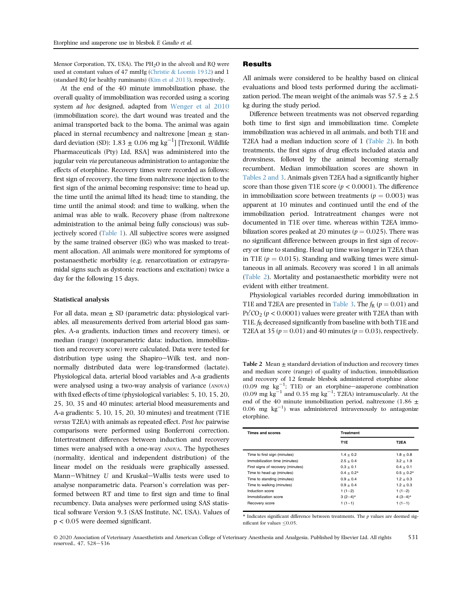Mensor Corporation, TX, USA). The  $PH<sub>2</sub>O$  in the alveoli and RQ were used at constant values of 47 mmHg ([Christie](#page-7-0) & [Loomis 1932\)](#page-7-0) and 1 (standard RQ for healthy ruminants) ([Kim et al 2013\)](#page-8-10), respectively.

At the end of the 40 minute immobilization phase, the overall quality of immobilization was recorded using a scoring system ad hoc designed, adapted from [Wenger et al 2010](#page-8-8) (immobilization score), the dart wound was treated and the animal transported back to the boma. The animal was again placed in sternal recumbency and naltrexone [mean  $\pm$  standard deviation (SD):  $1.83 \pm 0.06$  mg kg<sup>-1</sup>] [Trexonil, Wildlife Pharmaceuticals (Pty) Ltd, RSA] was administered into the jugular vein via percutaneous administration to antagonize the effects of etorphine. Recovery times were recorded as follows: first sign of recovery, the time from naltrexone injection to the first sign of the animal becoming responsive; time to head up, the time until the animal lifted its head; time to standing, the time until the animal stood; and time to walking, when the animal was able to walk. Recovery phase (from naltrexone administration to the animal being fully conscious) was subjectively scored [\(Table 1\)](#page-2-0). All subjective scores were assigned by the same trained observer (EG) who was masked to treatment allocation. All animals were monitored for symptoms of postanaesthetic morbidity (e.g. renarcotization or extrapyramidal signs such as dystonic reactions and excitation) twice a day for the following 15 days.

#### Statistical analysis

For all data, mean  $\pm$  SD (parametric data: physiological variables, all measurements derived from arterial blood gas samples, A-a gradients, induction times and recovery times), or median (range) (nonparametric data: induction, immobilization and recovery score) were calculated. Data were tested for distribution type using the Shapiro-Wilk test, and nonnormally distributed data were log-transformed (lactate). Physiological data, arterial blood variables and A-a gradients were analysed using a two-way analysis of variance (ANOVA) with fixed effects of time (physiological variables: 5, 10, 15, 20, 25, 30, 35 and 40 minutes; arterial blood measurements and A-a gradients: 5, 10, 15, 20, 30 minutes) and treatment (T1E versus T2EA) with animals as repeated effect. Post hoc pairwise comparisons were performed using Bonferroni correction. Intertreatment differences between induction and recovery times were analysed with a one-way ANOVA. The hypotheses (normality, identical and independent distribution) of the linear model on the residuals were graphically assessed. Mann-Whitney U and Kruskal-Wallis tests were used to analyse nonparametric data. Pearson's correlation was performed between RT and time to first sign and time to final recumbency. Data analyses were performed using SAS statistical software Version 9.3 (SAS Institute, NC, USA). Values of p < 0.05 were deemed significant.

## Results

All animals were considered to be healthy based on clinical evaluations and blood tests performed during the acclimatization period. The mean weight of the animals was  $57.5 + 2.5$ kg during the study period.

Difference between treatments was not observed regarding both time to first sign and immobilization time. Complete immobilization was achieved in all animals, and both T1E and T2EA had a median induction score of 1 [\(Table 2](#page-3-0)). In both treatments, the first signs of drug effects included ataxia and drowsiness, followed by the animal becoming sternally recumbent. Median immobilization scores are shown in [Tables 2 and 3](#page-3-0). Animals given T2EA had a significantly higher score than those given T1E score ( $p < 0.0001$ ). The difference in immobilization score between treatments ( $p = 0.003$ ) was apparent at 10 minutes and continued until the end of the immobilization period. Intratreatment changes were not documented in T1E over time, whereas within T2EA immobilization scores peaked at 20 minutes ( $p = 0.025$ ). There was no significant difference between groups in first sign of recovery or time to standing. Head up time was longer in T2EA than in T1E ( $p = 0.015$ ). Standing and walking times were simultaneous in all animals. Recovery was scored 1 in all animals ([Table 2\)](#page-3-0). Mortality and postanaesthetic morbidity were not evident with either treatment.

Physiological variables recorded during immobilization in T1E and T2EA are presented in [Table 3](#page-4-0). The  $f_R$  ( $p = 0.01$ ) and  $Pr'CO_2$  ( $p < 0.0001$ ) values were greater with T2EA than with T1E.  $f_R$  decreased significantly from baseline with both T1E and T2EA at 35 ( $p = 0.01$ ) and 40 minutes ( $p = 0.03$ ), respectively.

<span id="page-3-0"></span>Table 2 Mean  $\pm$  standard deviation of induction and recovery times and median score (range) of quality of induction, immobilization and recovery of 12 female blesbok administered etorphine alone  $(0.09 \text{ mg kg}^{-1}$ ; T1E) or an etorphine-azaperone combination  $(0.09 \text{ mg kg}^{-1} \text{ and } 0.35 \text{ mg kg}^{-1}; \text{T2EA})$  intramuscularly. At the end of the 40 minute immobilization period, naltrexone (1.86  $\pm$  $0.06$  mg  $\text{kg}^{-1}$ ) was administered intravenously to antagonize etorphine.

| <b>Times and scores</b>           | <b>Treatment</b> |              |
|-----------------------------------|------------------|--------------|
|                                   | T1E              | T2EA         |
| Time to first sign (minutes)      | $1.4 + 0.2$      | $1.8 + 0.8$  |
| Immobilization time (minutes)     | $2.5 + 0.4$      | $3.2 + 1.9$  |
| First signs of recovery (minutes) | $0.3 + 0.1$      | $0.4 + 0.1$  |
| Time to head up (minutes)         | $0.4 + 0.2*$     | $0.5 + 0.2*$ |
| Time to standing (minutes)        | $0.9 + 0.4$      | $1.2 + 0.3$  |
| Time to walking (minutes)         | $0.9 + 0.4$      | $1.2 + 0.3$  |
| Induction score                   | $1(1-2)$         | $1(1-2)$     |
| Immobilization score              | $3(2-4)*$        | $4(3-4)*$    |
| Recovery score                    | $1(1-1)$         | $1(1-1)$     |

 $*$  Indicates significant difference between treatments. The  $p$  values are deemed significant for values  $\leq 0.05$ .

© 2020 Association of Veterinary Anaesthetists and American College of Veterinary Anesthesia and Analgesia. Published by Elsevier Ltd. All rights reserved., 47, 528–536 531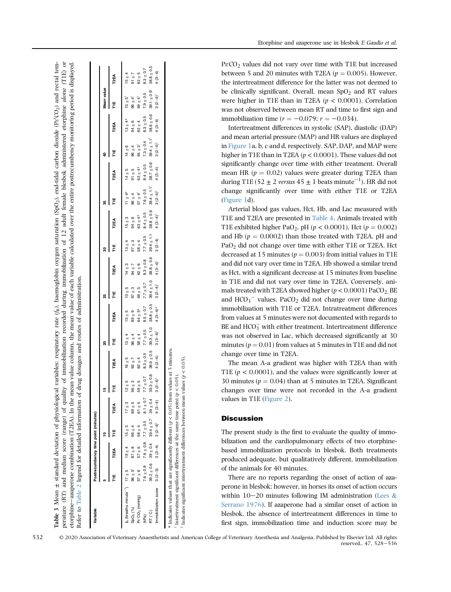| Variable                                                  |                         |               | Postrecumbency time point (minutes)                     |               |                |                |                                                                                                                                                                                                                               |                |                |                |               |                               |                       |               |                                                                  |                |                         |                |
|-----------------------------------------------------------|-------------------------|---------------|---------------------------------------------------------|---------------|----------------|----------------|-------------------------------------------------------------------------------------------------------------------------------------------------------------------------------------------------------------------------------|----------------|----------------|----------------|---------------|-------------------------------|-----------------------|---------------|------------------------------------------------------------------|----------------|-------------------------|----------------|
|                                                           |                         |               |                                                         |               | 쀼              |                | ຊ                                                                                                                                                                                                                             |                |                |                | ន             |                               |                       |               |                                                                  |                | Mean value              |                |
|                                                           | Ë                       | T2EA          | ٣                                                       | <b>T2EA</b>   | ٣              | <b>T2EA</b>    | Ë                                                                                                                                                                                                                             | <b>T2EA</b>    | Ë              | T2EA           | ۳<br>T        | <b>T2EA</b>                   | Ë                     | <b>T2EA</b>   | ٣                                                                | <b>T2EA</b>    | Ë                       | <b>T2EA</b>    |
| $f_R$ (breaths minute <sup>-1</sup> ) $17 \pm 5$          |                         | $19 \pm 4$    | $15 + 5$                                                | $17 \pm 3$    | $12 \pm 5$     | $16 \pm 5$     | $13 \pm 4$                                                                                                                                                                                                                    | $15 \pm 5$     | $13 \pm 5$     | $14 \pm 3$     | $13 \pm 4$    | $15 \pm 3$                    | $11 \pm 4*$           | $14 \pm 5$    | $14 \pm 6$                                                       | $13 \pm 4*$    | $13 \pm 5^{\dagger}$    | $15 \pm 4$     |
| SpO <sub>2</sub> (%)                                      | $96 \pm 5$ <sup>1</sup> | $87 + 8$      | $96 \pm 4$                                              | $89 \pm 5$    | $96 \pm 3$     | $92 + 7$       | $96 \pm 4$                                                                                                                                                                                                                    | $89 \pm 9$     | $97 \pm 3$     | $94 \pm 7$     | $97 \pm 3$    | $94 \pm 6$                    | $96 \pm 4$            | $91 \pm 5$    | $96 \pm 4$                                                       | $94 \pm 6$     | $96 \pm 4$ <sup>1</sup> | $91 \pm 7$     |
| $Pe'CO2$ (mmHg)                                           | $57 \pm 6$              | $57 \pm 6$    | $58 \pm 4$                                              | $61 \pm 5$    | $59 \pm 5$     | $62 + 4$       | $58 \pm 4$                                                                                                                                                                                                                    | $64 \pm 5*$    | $59 \pm 5$     | $62 \pm 6$     | $58 \pm 4$    | $63 + 4*$                     | $57 \pm 4^{\dagger}$  | $63 \pm 4*$   | $55 \pm 3^{\dagger}$                                             | $62 \pm 4$     | $59 \pm 4$ <sup>1</sup> | $62 \pm 5$     |
| (kPa)                                                     | $7.6 \pm 0.8$           | $7.6 \pm 0.8$ | $7.7 \pm 0.5$                                           | $8.1 \pm 0.7$ | $7.7 \pm 0.7$  | $8.3 \pm 0.5$  | $7.7 \pm 0.5$                                                                                                                                                                                                                 | $8.5 \pm 0.7$  | $7.7 \pm 0.7$  | $8.3 \pm 0.8$  | $7.7 \pm 0.5$ | $8.4 \pm 0.5$                 | $7.6 \pm 0.5$         | $8.4 \pm 0.5$ | $7.3 \pm 0.4$                                                    | $8.3 \pm 0.5$  | $7.9 \pm 0.5$           | $8.3 \pm 0.7$  |
| RT (°C)                                                   |                         |               | $39.2 \pm 0.6$ $39 \pm 0.4$ $39.4 \pm 0.7$ $39 \pm 0.4$ |               | $39.3 \pm 0.8$ | $38.9 \pm 0.5$ | $39.3 \pm 1.0$                                                                                                                                                                                                                | $38.8 \pm 0.5$ | $39.4 \pm 1.0$ | $38.8 \pm 0.6$ |               | $39.4 \pm 1.1$ $38.8 \pm 0.6$ |                       |               | $39.4 \pm 1.1^{\dagger}$ $38.7 \pm 0.6$ $39.4 \pm 1.1^{\dagger}$ | $38.6 \pm 0.6$ | $39.1 \pm 0.9$          | $38.8 \pm 0.5$ |
| Immobilization score 3 (2-3) 3 (3-4) <sup>1</sup> 4 (3-4) |                         |               |                                                         |               |                |                | +(+e-c) + (+e-c) c +(+e-c) + (+e-c) c *(+e-c) + (+e-c) c +(+e-c) c + (+e-c) + (+e-c) + (+e-c) + (+e-c) + (+e-c) + (+e-c) + (+e-c) + (+e-c) + (+e-c) + (+e-c) + (+e-c) + (+e-c) + (+e-c) + (+e-c) + (+e-c) + (+e-c) + (+e-c) + |                |                |                |               |                               | $3(2-4)$ <sup>†</sup> |               | $4(3-4)$ 3 $(2-4)$ <sup>†</sup>                                  | $4(3-4)$       | $3(2-4)^+$              | $4(3-4)$       |

Table 3 Mean

Table 3 Mean

 $+1$ 

 $\pm$  standard deviation of physiological variables: respiratory rate (f<sub>R</sub>), haemoglobin oxygen saturation (SpO<sub>2</sub>), end-tidal carbon dioxide (Pe

<span id="page-4-0"></span>standard deviation of physiological variables: respiratory rate (j<sub>R</sub>), haemoglobin oxygen saturation (SpO<sub>2</sub>), end-tidal carbon dioxide (Pr<sup>2</sup>CO<sub>2</sub>) and rectal tem-

perature (RT) and median score (range) of quality of immobilization recorded during immobilization of 12 adult female blesbok administered etorphine alone (T1E) or

perature (RT) and median score (range) of quality of immobilization recorded during immobilization of 12 adult female blesbok administered etorphine alone (T1E) or

 $(CO<sub>2</sub>)$  and rectal tem-

Etorphine and azaperone use in blesbok E Gaudio et al.

 $\text{Pe}^{\prime}\text{CO}_2$  values did not vary over time with T1E but increased between 5 and 20 minutes with T2EA ( $p = 0.005$ ). However, the intertreatment difference for the latter was not deemed to be clinically significant. Overall, mean  $SpO<sub>2</sub>$  and RT values were higher in T1E than in T2EA ( $p < 0.0001$ ). Correlation was not observed between mean RT and time to first sign and immobilization time  $(r = -0.079; r = -0.034)$ .

Intertreatment differences in systolic (SAP), diastolic (DAP) and mean arterial pressure (MAP) and HR values are displayed in [Figure 1a](#page-5-0), b, c and d, respectively. SAP, DAP, and MAP were higher in T1E than in T2EA ( $p < 0.0001$ ). These values did not significantly change over time with either treatment. Overall mean HR ( $p = 0.02$ ) values were greater during T2EA than during T1E (52  $\pm$  2 *versus* 45  $\pm$  1 beats minute $^{-1}$ ). HR did not change significantly over time with either T1E or T2EA [\(Figure 1d](#page-5-0)).

Arterial blood gas values, Hct, Hb, and Lac measured with T1E and T2EA are presented in [Table 4](#page-6-0). Animals treated with T1E exhibited higher PaO<sub>2</sub>, pH ( $p < 0.0001$ ), Hct ( $p = 0.002$ ) and Hb  $(p = 0.0002)$  than those treated with T2EA. pH and PaO2 did not change over time with either T1E or T2EA. Hct decreased at 15 minutes ( $p = 0.003$ ) from initial values in T1E and did not vary over time in T2EA. Hb showed a similar trend as Hct, with a significant decrease at 15 minutes from baseline in T1E and did not vary over time in T2EA. Conversely, animals treated with T2EA showed higher ( $p < 0.0001$ ) PaCO<sub>2</sub>, BE and  $HCO<sub>3</sub><sup>-</sup>$  values. PaCO<sub>2</sub> did not change over time during immobilization with T1E or T2EA. Intratreatment differences from values at 5 minutes were not documented with regards to  $BE$  and  $HCO<sub>3</sub><sup>-</sup>$  with either treatment. Intertreatment difference was not observed in Lac, which decreased significantly at 30 minutes ( $p = 0.01$ ) from values at 5 minutes in T1E and did not change over time in T2EA.

The mean A-a gradient was higher with T2EA than with T1E ( $p < 0.0001$ ), and the values were significantly lower at 30 minutes ( $p = 0.04$ ) than at 5 minutes in T2EA. Significant changes over time were not recorded in the A-a gradient values in T1E [\(Figure 2\)](#page-6-1).

## **Discussion**

The present study is the first to evaluate the quality of immobilization and the cardiopulmonary effects of two etorphinebased immobilization protocols in blesbok. Both treatments produced adequate, but qualitatively different, immobilization of the animals for 40 minutes.

There are no reports regarding the onset of action of azaperone in blesbok; however, in horses its onset of action occurs within  $10-20$  minutes following IM administration [\(Lees](#page-8-2) & [Serrano 1976\)](#page-8-2). If azaperone had a similar onset of action in blesbok, the absence of intertreatment differences in time to first sign, immobilization time and induction score may be

© 2020 Association of Veterinary Anaesthetists and American College of Veterinary Anesthesia and Analgesia. Published by Elsevier Ltd. All rights reserved., 47, 528-536 532

Indicates significant intertreatment differences between mean values ( $p < 0.05$ ).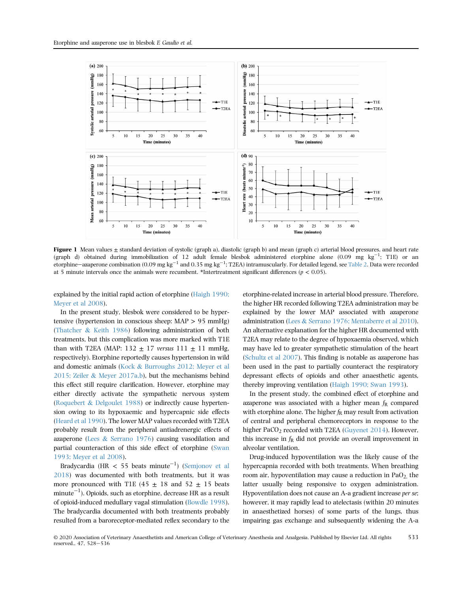<span id="page-5-0"></span>

Figure 1 Mean values  $\pm$  standard deviation of systolic (graph a), diastolic (graph b) and mean (graph c) arterial blood pressures, and heart rate (graph d) obtained during immobilization of 12 adult female blesbok administered etorphine alone (0.09 mg  $\text{kg}^{-1}$ ; T1E) or an etorphine—azaperone combination (0.09 mg kg $^{-1}$  and 0.35 mg kg $^{-1}$ ; T2EA) intramuscularly. For detailed legend, see [Table 2.](#page-3-0) Data were recorded at 5 minute intervals once the animals were recumbent. \*Intertreatment significant differences ( $p < 0.05$ ).

explained by the initial rapid action of etorphine [\(Haigh 1990;](#page-8-6) [Meyer et al 2008](#page-8-6)).

In the present study, blesbok were considered to be hypertensive (hypertension in conscious sheep: MAP > 95 mmHg) ([Thatcher](#page-8-11) & [Keith 1986](#page-8-11)) following administration of both treatments, but this complication was more marked with T1E than with T2EA (MAP: 132  $\pm$  17 versus 111  $\pm$  11 mmHg, respectively). Etorphine reportedly causes hypertension in wild and domestic animals [\(Kock](#page-8-0) & [Burroughs 2012; Meyer et al](#page-8-0) [2015; Zeiler](#page-8-0) & [Meyer 2017a,b\)](#page-8-0), but the mechanisms behind this effect still require clarification. However, etorphine may either directly activate the sympathetic nervous system ([Roquebert](#page-8-12) & [Delgoulet 1988\)](#page-8-12) or indirectly cause hypertension owing to its hypoxaemic and hypercapnic side effects ([Heard et al 1990](#page-8-13)). The lower MAP values recorded with T2EA probably result from the peripheral antiadrenergic effects of azaperone ([Lees](#page-8-2) & [Serrano 1976](#page-8-2)) causing vasodilation and partial counteraction of this side effect of etorphine ([Swan](#page-8-3) [1993; Meyer et al 2008\)](#page-8-3).

Bradycardia (HR  $<$  55 beats minute $^{-1}$ ) ([Semjonov et al](#page-8-14) [2018](#page-8-14)) was documented with both treatments, but it was more pronounced with T1E (45  $\pm$  18 and 52  $\pm$  15 beats minute $^{-1}$ ). Opioids, such as etorphine, decrease HR as a result of opioid-induced medullary vagal stimulation ([Bowdle 1998\)](#page-7-1). The bradycardia documented with both treatments probably resulted from a baroreceptor-mediated reflex secondary to the etorphine-related increase in arterial blood pressure. Therefore, the higher HR recorded following T2EA administration may be explained by the lower MAP associated with azaperone administration ([Lees](#page-8-2) & [Serrano 1976; Mentaberre et al 2010\)](#page-8-2). An alternative explanation for the higher HR documented with T2EA may relate to the degree of hypoxaemia observed, which may have led to greater sympathetic stimulation of the heart ([Schultz et al 2007\)](#page-8-15). This finding is notable as azaperone has been used in the past to partially counteract the respiratory depressant effects of opioids and other anaesthetic agents, thereby improving ventilation ([Haigh 1990; Swan 1993\)](#page-8-6).

In the present study, the combined effect of etorphine and azaperone was associated with a higher mean  $f_R$  compared with etorphine alone. The higher  $f_R$  may result from activation of central and peripheral chemoreceptors in response to the higher PaCO<sub>2</sub> recorded with T2EA [\(Guyenet 2014](#page-8-16)). However, this increase in  $f_R$  did not provide an overall improvement in alveolar ventilation.

Drug-induced hypoventilation was the likely cause of the hypercapnia recorded with both treatments. When breathing room air, hypoventilation may cause a reduction in  $PaO<sub>2</sub>$  the latter usually being responsive to oxygen administration. Hypoventilation does not cause an A-a gradient increase per se; however, it may rapidly lead to atelectasis (within 20 minutes in anaesthetized horses) of some parts of the lungs, thus impairing gas exchange and subsequently widening the A-a

© 2020 Association of Veterinary Anaesthetists and American College of Veterinary Anesthesia and Analgesia. Published by Elsevier Ltd. All rights reserved., 47, 528–536 533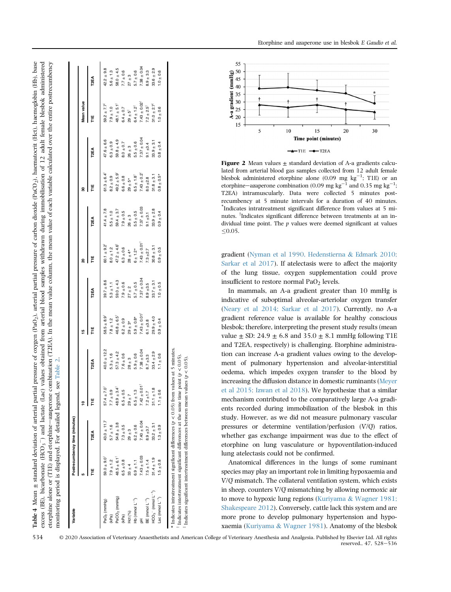<span id="page-6-0"></span>

|                          |                             |                 | $\overline{\phantom{a}}$<br>ş |                 | يه                           |                | ន                        |                 | 8              |                 | Mean value                   |                 |
|--------------------------|-----------------------------|-----------------|-------------------------------|-----------------|------------------------------|----------------|--------------------------|-----------------|----------------|-----------------|------------------------------|-----------------|
|                          |                             | <b>T2EA</b>     | 뿓                             | <b>T2EA</b>     | Ë                            | <b>T2EA</b>    | 뷛                        | <b>T2EA</b>     | ۳<br>E         | <b>T2EA</b>     | ۳<br>E                       | <b>T2EA</b>     |
| PaO <sub>2</sub> (mmHg)  | $59.0 \pm 9.0$ <sup>†</sup> | $43.0 \pm 11.7$ | $57.4 \pm 7.0$                | $40.0 \pm 12.2$ | $58.5 + 8.9$                 | $39.7 \pm 8.6$ | $60.1 \pm 9.2$           | $41.4 \pm 7.8$  | $61.3 \pm 6.4$ | $47.6 \pm 6.6$  | $59.2 \pm 7.7^{\ddagger}$    | $42.2 \pm 9.8$  |
| (kPa)                    | $7.9 \pm 1.2$               | $5.7 \pm 1.6$   | $7.7 \pm 0.9$                 | $5.3 \pm 1.6$   | $7.8 \pm 1.2$                | $5.3 \pm 1.1$  | $8.0 \pm 1.2$            | $5.5 \pm 1.0$   | $8.2 \pm 0.9$  | $6.3 \pm 0.9$   | $7.9 \pm 1.0$                | $5.6 \pm 1.3$   |
| PaCO <sub>2</sub> (mmHg) | $48.5 \pm 6.1$              | $54.8 \pm 3.8$  | $48.9 \pm 3.4^{\dagger}$      | $57.3 \pm 4.2$  | $46.8 \pm 6.5$               | $59.0 \pm 4.3$ | $47.2 \pm 4.6^{\dagger}$ | $59.4 \pm 3.7$  | $49.2 + 5.9$   | $59.8 \pm 4.9$  | $48.1 \pm 5.1^{\frac{1}{4}}$ | $58.0 \pm 4.5$  |
| (kPa)                    | $6.5 \pm 0.8$               | $7.3 \pm 0.5$   | 0.5<br>$6.5 \pm$              | $7.6 \pm 0.6$   | $6.2 \pm 0.9$                | $7.9 \pm 0.6$  | $6.3 \pm 0.6$            | $7.9 \pm 0.5$   | $6.6 \pm 0.8$  | $8.0 \pm 0.7$   | $6.4 \pm 0.7$                | $7.7 \pm 0.6$   |
| Hct (%)                  | $33 \pm 4$                  | $29 \pm 3$      | h<br>$29 +$                   | $28 \pm 3$      | $29 \pm 3*$                  | $27 \pm 2$     | $28 \pm 4*$              | $26 \pm 3$      | $29 \pm 5*$    | $26 \pm 3$      | $29 \pm 5^{\frac{1}{3}}$     | $27 \pm 3$      |
| Hb (mmol $L^{-1}$ )      | $6.9 \pm 1.1$               | $6.2 \pm 0.6$   | $\frac{3}{1}$<br>$6.5 +$      | $5.9 \pm 0.6$   | $5.9 \pm 0.8*$               | $5.7 \pm 0.5$  | $6 \pm 1.2*$             | $5.5 \pm 0.5$   | $6.5 \pm 1.8$  | $5.5 \pm 0.6$   | $6.4 \pm 1.2^{\ddagger}$     | $5.7 \pm 0.6$   |
|                          | $7.43 \pm 0.03$             | $7.40 \pm 0.04$ | $7.42 \pm 0.01$               | $7.38 \pm 0.04$ | $7.43 \pm 0.01$ <sup>1</sup> | $7.37 + 0.04$  | $7.43 \pm 0.01$          | $7.37 \pm 0.03$ | $7.43 \pm 0.2$ | $7.37 \pm 0.04$ | $7.43 \pm 0.02$              | $7.38 \pm 0.04$ |
| BE (mmol $L^{-1}$ )      | $7.5 \pm 1.4$               | $8.9 + 3.7$     | $7.2 \pm 1.7$                 | $8.7 \pm 3.3$   | $6.1 + 3.8$                  | $8.9 + 3.5$    | $7.3 + 2.7$              | $9.1 + 3.1$     | $8.0 + 2.8$    | $9.1 + 3.4$     | $7.2 \pm 2.5^{\ddagger}$     | $8.9 + 3.3$     |
| $HCO3$ (mmol $L-1$ )     | $31.4 \pm 1.9$              | $33.2 \pm 3.1$  | $31.1 \pm 1.8$                | $33.4 \pm 2.9$  | $29.9 \pm 4.0$               | $33.7 \pm 3.1$ | $30.8 \pm 3.1$           | $33.9 \pm 2.8$  | $31.8 \pm 3.1$ | $33.9 + 3.1$    | $31.0 \pm 2.7^{\ddagger}$    | $33.6 \pm 2.9$  |
| Lac (mmol $L^{-1}$ )     | $1.5 \pm 0.8$               | $1.3 \pm 0.9$   | $1.1 \pm 0.6$                 | $1.1 \pm 0.6$   | $0.9 + 0.4$                  | $0.56 + 0.5$   | $0.9 \pm 0.5$            | $0.9 \pm 0.4$   | $0.8 \pm 0.5*$ | $0.8 \pm 0.4$   | $1.0 \pm 0.6$                | $1.0 \pm 0.6$   |

\* Indicates intratreatment significant differences  $(p < 0.05)$  from values at 5 minutes.<br><sup>1</sup> Indicates intertreatment significant differences at the same time point  $(p < 0.05)$ .<br><sup>4</sup> Indicates significant intertreatment diff Indicates intertreatment significant differences at the same time point ( $p < 0.05$ ) Indicates significant intertreatment differences between mean values ( $p < 0.05$ ). Etorphine and azaperone use in blesbok E Gaudio et al.

<span id="page-6-1"></span>

Figure 2 Mean values  $\pm$  standard deviation of A-a gradients calculated from arterial blood gas samples collected from 12 adult female blesbok administered etorphine alone (0.09 mg kg<sup>-1</sup>; T1E) or an etorphine—azaperone combination (0.09 mg kg<sup>-1</sup> and 0.35 mg kg<sup>-1</sup>; T2EA) intramuscularly. Data were collected 5 minutes postrecumbency at 5 minute intervals for a duration of 40 minutes. \* Indicates intratreatment significant difference from values at 5 minutes. <sup>†</sup>Indicates significant difference between treatments at an individual time point. The  $p$  values were deemed significant at values  $< 0.05.$ 

gradient ([Nyman et al 1990, Hedenstierna](#page-8-17) & [Edmark 2010;](#page-8-17) [Sarkar et al 2017\)](#page-8-17). If atelectasis were to affect the majority of the lung tissue, oxygen supplementation could prove insufficient to restore normal  $PaO<sub>2</sub>$  levels.

In mammals, an A-a gradient greater than 10 mmHg is indicative of suboptimal alveolar-arteriolar oxygen transfer [\(Neary et al 2014; Sarkar et al 2017\)](#page-8-18). Currently, no A-a gradient reference value is available for healthy conscious blesbok; therefore, interpreting the present study results (mean value  $\pm$  SD: 24.9  $\pm$  6.8 and 35.0  $\pm$  8.1 mmHg following T1E and T2EA, respectively) is challenging. Etorphine administration can increase A-a gradient values owing to the development of pulmonary hypertension and alveolar-interstitial oedema, which impedes oxygen transfer to the blood by increasing the diffusion distance in domestic ruminants [\(Meyer](#page-8-7) [et al 2015; Izwan et al 2018](#page-8-7)). We hypothesize that a similar mechanism contributed to the comparatively large A-a gradients recorded during immobilization of the blesbok in this study. However, as we did not measure pulmonary vascular pressures or determine ventilation/perfusion  $(V/Q)$  ratios, whether gas exchange impairment was due to the effect of etorphine on lung vasculature or hypoventilation-induced lung atelectasis could not be confirmed.

Anatomical differences in the lungs of some ruminant species may play an important role in limiting hypoxaemia and V/Q mismatch. The collateral ventilation system, which exists in sheep, counters  $V/Q$  mismatching by allowing normoxic air to move to hypoxic lung regions [\(Kuriyama](#page-8-19) & [Wagner 1981;](#page-8-19) [Shakespeare 2012](#page-8-19)). Conversely, cattle lack this system and are more prone to develop pulmonary hypertension and hypoxaemia ([Kuriyama](#page-8-19) & [Wagner 1981\)](#page-8-19). Anatomy of the blesbok

© 2020 Association of Veterinary Anaesthetists and American College of Veterinary Anesthesia and Analgesia. Published by Elsevier Ltd. All rights reserved., 47, 528-536 534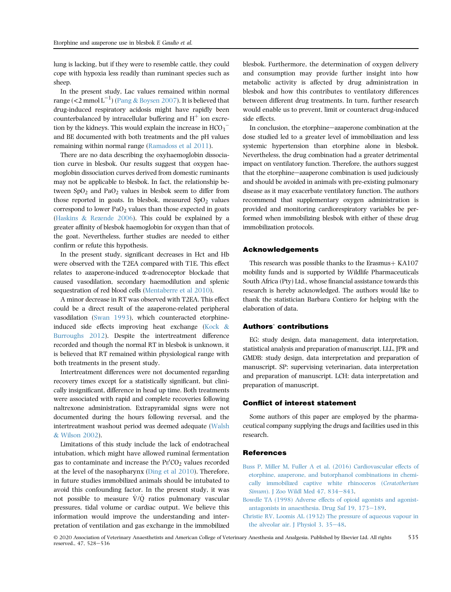lung is lacking, but if they were to resemble cattle, they could cope with hypoxia less readily than ruminant species such as sheep.

In the present study, Lac values remained within normal range (<2 mmol  $\text{L}^{-1}$ ) ([Pang](#page-8-20) & [Boysen 2007](#page-8-20)). It is believed that drug-induced respiratory acidosis might have rapidly been counterbalanced by intracellular buffering and  $H^+$  ion excretion by the kidneys. This would explain the increase in  $\text{HCO}_3^$ and BE documented with both treatments and the pH values remaining within normal range ([Ramadoss et al 2011](#page-8-21)).

There are no data describing the oxyhaemoglobin dissociation curve in blesbok. Our results suggest that oxygen haemoglobin dissociation curves derived from domestic ruminants may not be applicable to blesbok. In fact, the relationship between  $SpO<sub>2</sub>$  and PaO<sub>2</sub> values in blesbok seem to differ from those reported in goats. In blesbok, measured  $SpO<sub>2</sub>$  values correspond to lower  $PaO<sub>2</sub>$  values than those expected in goats ([Haskins](#page-8-22) & [Rezende 2006\)](#page-8-22). This could be explained by a greater affinity of blesbok haemoglobin for oxygen than that of the goat. Nevertheless, further studies are needed to either confirm or refute this hypothesis.

In the present study, significant decreases in Hct and Hb were observed with the T2EA compared with T1E. This effect relates to azaperone-induced a-adrenoceptor blockade that caused vasodilation, secondary haemodilution and splenic sequestration of red blood cells ([Mentaberre et al 2010](#page-8-23)).

A minor decrease in RT was observed with T2EA. This effect could be a direct result of the azaperone-related peripheral vasodilation [\(Swan 1993\)](#page-8-3), which counteracted etorphineinduced side effects improving heat exchange ([Kock](#page-8-0) & [Burroughs 2012\)](#page-8-0). Despite the intertreatment difference recorded and though the normal RT in blesbok is unknown, it is believed that RT remained within physiological range with both treatments in the present study.

Intertreatment differences were not documented regarding recovery times except for a statistically significant, but clinically insignificant, difference in head up time. Both treatments were associated with rapid and complete recoveries following naltrexone administration. Extrapyramidal signs were not documented during the hours following reversal, and the intertreatment washout period was deemed adequate ([Walsh](#page-8-24) & [Wilson 2002\)](#page-8-24).

Limitations of this study include the lack of endotracheal intubation, which might have allowed ruminal fermentation gas to contaminate and increase the  $\text{Pe}^{\prime}\text{CO}_2$  values recorded at the level of the nasopharynx ([Ding et al 2010](#page-8-25)). Therefore, in future studies immobilized animals should be intubated to avoid this confounding factor. In the present study, it was not possible to measure  $\dot{V}/\dot{O}$  ratios pulmonary vascular pressures, tidal volume or cardiac output. We believe this information would improve the understanding and interpretation of ventilation and gas exchange in the immobilized blesbok. Furthermore, the determination of oxygen delivery and consumption may provide further insight into how metabolic activity is affected by drug administration in blesbok and how this contributes to ventilatory differences between different drug treatments. In turn, further research would enable us to prevent, limit or counteract drug-induced side effects.

In conclusion, the etorphine-azaperone combination at the dose studied led to a greater level of immobilization and less systemic hypertension than etorphine alone in blesbok. Nevertheless, the drug combination had a greater detrimental impact on ventilatory function. Therefore, the authors suggest that the etorphine-azaperone combination is used judiciously and should be avoided in animals with pre-existing pulmonary disease as it may exacerbate ventilatory function. The authors recommend that supplementary oxygen administration is provided and monitoring cardiorespiratory variables be performed when immobilizing blesbok with either of these drug immobilization protocols.

## Acknowledgements

This research was possible thanks to the Erasmus $+$  KA107 mobility funds and is supported by Wildlife Pharmaceuticals South Africa (Pty) Ltd., whose financial assistance towards this research is hereby acknowledged. The authors would like to thank the statistician Barbara Contiero for helping with the elaboration of data.

## Authors' contributions

EG: study design, data management, data interpretation, statistical analysis and preparation of manuscript. LLL, JPR and GMDB: study design, data interpretation and preparation of manuscript. SP: supervising veterinarian, data interpretation and preparation of manuscript. LCH: data interpretation and preparation of manuscript.

### Conflict of interest statement

Some authors of this paper are employed by the pharmaceutical company supplying the drugs and facilities used in this research.

#### References

- [Buss P, Miller M, Fuller A et al. \(2016\) Cardiovascular effects of](http://refhub.elsevier.com/S1467-2987(20)30051-9/sref1) [etorphine, azaperone, and butorphanol combinations in chemi](http://refhub.elsevier.com/S1467-2987(20)30051-9/sref1)[cally immobilized captive white rhinoceros \(](http://refhub.elsevier.com/S1467-2987(20)30051-9/sref1)Ceratotherium Simum). J Zoo Wildl Med  $47, 834-843$  $47, 834-843$ .
- <span id="page-7-1"></span>[Bowdle TA \(1998\) Adverse effects of opioid agonists and agonist](http://refhub.elsevier.com/S1467-2987(20)30051-9/sref2)[antagonists in anaesthesia. Drug Saf 19, 173](http://refhub.elsevier.com/S1467-2987(20)30051-9/sref2)-[189.](http://refhub.elsevier.com/S1467-2987(20)30051-9/sref2)
- <span id="page-7-0"></span>[Christie RV, Loomis AL \(1932\) The pressure of aqueous vapour in](http://refhub.elsevier.com/S1467-2987(20)30051-9/sref3) the alveolar air. J Physiol 3,  $35-48$ .